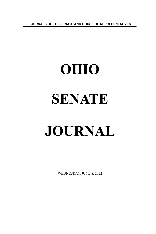**JOURNALS OF THE SENATE AND HOUSE OF REPRESENTATIVES**

# **OHIO SENATE JOURNAL**

WEDNESDAY, JUNE 8, 2022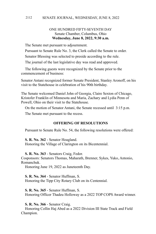# ONE HUNDRED FIFTY-SEVENTH DAY Senate Chamber, Columbus, Ohio **Wednesday, June 8, 2022, 9:30 a.m.**

The Senate met pursuant to adjournment.

Pursuant to Senate Rule No. 3, the Clerk called the Senate to order.

Senator Blessing was selected to preside according to the rule.

The journal of the last legislative day was read and approved.

The following guests were recognized by the Senate prior to the commencement of business:

Senator Antani recognized former Senate President, Stanley Aronoff, on his visit to the Statehouse in celebration of his 90th birthday.

The Senate welcomed Daniel John of Georgia, Claire Sexton of Chicago, Kristofer Franklin of Minnesota and Maria, Zachary and Lydia Penn of Powell, Ohio on their visit to the Statehouse.

On the motion of Senator Antani, the Senate recessed until 3:15 p.m.

The Senate met pursuant to the recess.

# **OFFERING OF RESOLUTIONS**

Pursuant to Senate Rule No. 54, the following resolutions were offered:

**S. R. No. 362** - Senator Hoagland. Honoring the Village of Clarington on its Bicentennial.

**S. R. No. 363** - Senators Craig, Fedor.

Cosponsors: Senators Thomas, Maharath, Brenner, Sykes, Yuko, Antonio, Romanchuk.

Honoring June 19, 2022 as Juneteenth Day.

**S. R. No. 364** - Senator Huffman, S. Honoring the Tipp City Rotary Club on its Centennial.

**S. R. No. 365** - Senator Huffman, S. Honoring Officer Thadeu Holloway as a 2022 TOP COPS Award winner.

**S. R. No. 366** - Senator Craig.

Honoring Collin Haj Abed as a 2022 Division III State Track and Field Champion.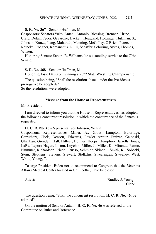# **S. R. No. 367** - Senator Huffman, M.

Cosponsors: Senators Yuko, Antani, Antonio, Blessing, Brenner, Cirino, Craig, Dolan, Fedor, Gavarone, Hackett, Hoagland, Hottinger, Huffman, S., Johnson, Kunze, Lang, Maharath, Manning, McColley, O'Brien, Peterson, Reineke, Roegner, Romanchuk, Rulli, Schaffer, Schuring, Sykes, Thomas, Wilson.

Honoring Senator Sandra R. Williams for outstanding service to the Ohio Senate.

**S. R. No. 368** - Senator Huffman, M.

Honoring Josie Davis on winning a 2022 State Wrestling Championship.

The question being, "Shall the resolutions listed under the President's prerogative be adopted?"

So the resolutions were adopted.

#### **Message from the House of Representatives**

Mr. President:

I am directed to inform you that the House of Representatives has adopted the following concurrent resolution in which the concurrence of the Senate is requested:

**H. C. R. No. 46** -Representatives Johnson, Wilkin

Cosponsors: Representatives Miller, A., Gross, Lampton, Baldridge, Carruthers, Click, Denson, Edwards, Fowler Arthur, Fraizer, Galonski, Ghanbari, Grendell, Hall, Hillyer, Holmes, Hoops, Humphrey, Jarrells, Jones, LaRe, Lepore-Hagan, Liston, Loychik, Miller, J., Miller, K., Miranda, Patton, Plummer, Richardson, Riedel, Russo, Schmidt, Skindell, Smith, K., Sobecki, Stein, Stephens, Stevens, Stewart, Stoltzfus, Swearingen, Sweeney, West, White, Young, T.

To urge President Biden not to recommend to Congress that the Veterans Affairs Medical Center located in Chillicothe, Ohio be closed.

Attest: Bradley J. Young, Clerk.

The question being, "Shall the concurrent resolution, **H. C. R. No. 46**, be adopted?

On the motion of Senator Antani, **H. C. R. No. 46** was referred to the Committee on Rules and Reference.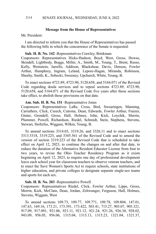#### SENATE JOURNAL, WEDNESDAY, JUNE 8, 2022 2114

#### **Message from the House of Representatives**

# Mr. President:

I am directed to inform you that the House of Representatives has passed the following bills in which the concurrence of the Senate is requested:

#### **Sub. H. B. No. 142** -Representatives Crawley, Brinkman

Cosponsors: Representatives Hicks-Hudson, Boyd, West, Gross, Howse, Skindell, Lightbody, Boggs, Miller, A., Smith, M., Young, T., Brent, Russo, Kelly, Weinstein, Jarrells, Addison, Blackshear, Davis, Denson, Fowler Arthur, Humphrey, Ingram, Leland, Lepore-Hagan, Miranda, Robinson, Sheehy, Smith, K., Sobecki, Sweeney, Upchurch, White, Young, B.

To enact sections 4723.89, 4723.90, 5120.658, and 5164.071 of the Revised Code regarding doula services and to repeal sections 4723.89, 4723.90, 5120.658, and 5164.071 of the Revised Code five years after those sections take effect, to abolish those provisions on that date.

#### **Am. Sub. H. B. No. 151** -Representative Jones

Cosponsors: Representatives LaRe, Cross, Bird, Swearingen, Manning, Carruthers, Click, Creech, Cutrona, Dean, Edwards, Fowler Arthur, Fraizer, Ginter, Grendell, Gross, Hall, Holmes, John, Kick, Loychik, Merrin, Plummer, Powell, Richardson, Riedel, Schmidt, Stein, Stephens, Stevens, Stewart, Stoltzfus, Wiggam, Wilkin, Young, B.

To amend sections 3314.03, 3319.26, and 3326.11 and to enact sections 3313.5318, 3319.225, and 3345.561 of the Revised Code and to amend the version of section 3319.223 of the Revised Code that is scheduled to take effect on April 12, 2023, to continue the changes on and after that date, to reduce the duration of the Alternative Resident Educator License from four to two years, to revise the Ohio Teacher Residency Program as it exists beginning on April 12, 2023, to require one day of professional development leave each school year for classroom teachers to observe veteran teachers, and to enact the Save Women's Sports Act to require schools, state institutions of higher education, and private colleges to designate separate single-sex teams and sports for each sex.

#### **Sub. H. B. No. 203** -Representative Powell

Cosponsors: Representatives Riedel, Click, Fowler Arthur, Lipps, Gross, Merrin, Kick, McClain, Dean, Jordan, Zeltwanger, Ferguson, Hall, Holmes, Stevens, Wiggam, West

To amend sections 109.73, 109.77, 109.771, 109.78, 109.804, 147.01, 147.63, 169.16, 173.21, 173.391, 173.422, 503.41, 715.27, 903.07, 905.321, 917.09, 917.091, 921.06, 921.11, 921.12, 921.24, 921.26, 926.30, 928.02, 943.09, 956.05, 956.06, 1315.04, 1315.13, 1315.23, 1321.04, 1321.37,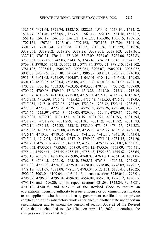1321.53, 1321.64, 1321.74, 1322.10, 1322.21, 1513.07, 1513.161, 1514.12, 1514.47, 1531.40, 1533.051, 1533.51, 1561.14, 1561.15, 1561.16, 1561.17, 1561.18, 1561.19, 1561.20, 1561.21, 1561.22, 1565.06, 1565.15, 1707.15, 1707.151, 1707.16, 1707.161, 1707.163, 1707.165, 1717.06, 3101.10, 3301.071, 3301.074, 3319.088, 3319.22, 3319.226, 3319.229, 3319.26, 3319.261, 3319.262, 3319.27, 3319.28, 3319.301, 3319.303, 3319.361, 3327.10, 3703.21, 3704.14, 3713.05, 3717.09, 3723.03, 3723.06, 3737.83, 3737.881, 3742.05, 3743.03, 3743.16, 3743.40, 3743.51, 3748.07, 3748.12, 3769.03, 3770.05, 3772.13, 3772.131, 3773.36, 3773.421, 3781.10, 3781.102, 3781.105, 3905.041, 3905.062, 3905.063, 3905.07, 3905.071, 3905.072, 3905.08, 3905.09, 3905.30, 3905.471, 3905.72, 3905.81, 3905.85, 3916.03, 3951.03, 3951.05, 3951.09, 4104.07, 4104.101, 4104.19, 4105.02, 4169.03, 4301.10, 4508.03, 4508.04, 4508.08, 4511.763, 4701.06, 4701.07, 4701.10, 4703.08, 4703.10, 4703.33, 4703.35, 4703.37, 4707.07, 4707.072, 4707.09, 4709.07, 4709.08, 4709.10, 4713.10, 4713.28, 4713.30, 4713.31, 4713.34, 4713.37, 4713.69, 4715.03, 4715.09, 4715.10, 4715.16, 4715.27, 4715.362, 4715.363, 4715.39, 4715.42, 4715.421, 4715.43, 4715.53, 4715.62, 4717.05, 4717.051, 4717.10, 4723.08, 4723.09, 4723.26, 4723.32, 4723.41, 4723.651, 4723.75, 4723.76, 4723.85, 4725.13, 4725.18, 4725.26, 4725.48, 4725.52, 4725.57, 4725.591, 4727.03, 4728.03, 4729.09, 4729.11, 4729.15, 4729.901, 4729.921, 4730.10, 4731.151, 4731.19, 4731.291, 4731.293, 4731.294, 4731.295, 4731.297, 4731.299, 4731.30, 4731.52, 4731.572, 4731.573, 4732.10, 4732.12, 4732.22, 4733.18, 4733.19, 4734.23, 4734.27, 4734.283, 4735.023, 4735.07, 4735.08, 4735.09, 4735.10, 4735.27, 4735.28, 4736.10, 4736.14, 4740.05, 4740.06, 4741.12, 4741.13, 4741.14, 4741.19, 4743.04, 4743.041, 4747.04, 4747.05, 4747.10, 4749.12, 4751.01, 4751.15, 4751.20, 4751.201, 4751.202, 4751.21, 4751.32, 4752.05, 4752.12, 4753.07, 4753.071, 4753.072, 4753.073, 4753.08, 4753.09, 4753.12, 4755.08, 4755.09, 4755.411, 4755.44, 4755.441, 4755.45, 4755.451, 4755.48, 4755.482, 4755.62, 4755.65, 4757.18, 4758.25, 4759.05, 4759.06, 4760.03, 4760.031, 4761.04, 4761.05, 4762.03, 4763.05, 4764.10, 4765.10, 4765.11, 4765.30, 4765.55, 4767.031, 4771.08, 4773.03, 4774.03, 4775.07, 4778.03, 4778.08, 4778.09, 4779.17, 4779.18, 4781.07, 4781.08, 4781.17, 4783.04, 5123.161, 5123.45, 5126.25, 5902.02, 5903.04, 6109.04, and 6111.46; to enact sections 3746.041, 4796.01, 4796.02, 4796.03, 4796.04, 4796.05, 4796.08, 4796.10, 4796.12, 4796.15, 4796.18, and 4796.20; and to repeal sections 921.08, 1322.24, 3905.081, 4707.12, 4740.08, and 4757.25 of the Revised Code to require an occupational licensing authority to issue a license or government certification to an applicant who holds a license, government certification, or private certification or has satisfactory work experience in another state under certain circumstances and to amend the version of section 3319.22 of the Revised Code that is scheduled to take effect on April 12, 2023, to continue the changes on and after that date.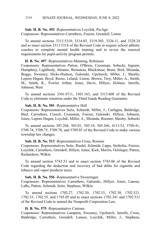**Sub. H. B. No. 492** -Representatives Loychik, Pavliga Cosponsors: Representatives Carruthers, Fraizer, Grendell, Liston

To amend sections 3313.5310, 3314.03, 3319.303, 3326.11, and 3328.24 and to enact section 3313.5318 of the Revised Code to require school athletic coaches to complete mental health training and to revise the renewal requirements for pupil-activity program permits.

**H. B. No. 497** -Representatives Manning, Robinson

Cosponsors: Representatives Patton, O'Brien, Crossman, Sobecki, Ingram, Humphrey, Lightbody, Abrams, Weinstein, Blackshear, Brent, Bird, Miranda, Boggs, Sweeney, Hicks-Hudson, Galonski, Upchurch, Miller, J., Sheehy, Lepore-Hagan, Boyd, Russo, Leland, Liston, Brown, Troy, Miller, A., Smith, M., Smith, K., Fowler Arthur, Jones, Davis, Hillyer, Holmes, Jarrells, Johnson, West

To amend sections 3301.0711, 3301.163, and 3313.608 of the Revised Code to eliminate retention under the Third Grade Reading Guarantee.

### **Sub. H. B. No. 501** -Representative Hall

Cosponsors: Representatives Seitz, Schmidt, Miller, J., Carfagna, Baldridge, Bird, Carruthers, Creech, Crossman, Fraizer, Galonski, Hillyer, Johnson, Jones, Lepore-Hagan, Loychik, Miller, A., Miranda, Roemer, Sheehy, Sobecki

To amend sections 307.204, 503.01, 505.10, 505.266, 4113.52, 5709.41, 5709.74, 5709.75, 5709.78, and 5709.85 of the Revised Code to make various township law changes.

#### **Sub. H. B. No. 513** -Representatives Cross, Roemer

Cosponsors: Representatives Seitz, Riedel, Schmidt, Lipps, Stoltzfus, Fraizer, Loychik, Carruthers, Grendell, Hillyer, Jones, Kick, Merrin, Oelslager, Patton, Richardson, Wilkin

To amend section 5743.53 and to enact section 5743.06 of the Revised Code regarding the deduction and recovery of bad debts for cigarette and tobacco and vapor products taxes.

# **Sub. H. B. No. 556** -Representative Swearingen

Cosponsors: Representatives Carruthers, Galonski, Hillyer, Jones, Lanese, LaRe, Patton, Schmidt, Seitz, Stephens, Wilkin

To amend sections 1702.27, 1702.30, 1702.33, 1702.38, 1702.521, 1702.53, 1702.55, and 1745.05 and to enact sections 1702.341 and 1702.531 of the Revised Code to amend the Nonprofit Corporation Law.

# **H. B. No. 575** -Representative Cutrona

Cosponsors: Representatives Lampton, Sweeney, Upchurch, Jarrells, Cross, Baldridge, Carruthers, Grendell, Lanese, Loychik, Miller, J., Stephens,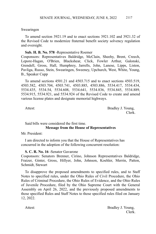# Swearingen

To amend section 3921.19 and to enact sections 3921.102 and 3921.32 of the Revised Code to modernize fraternal benefit society solvency regulation and oversight.

# **Sub. H. B. No. 578** -Representative Roemer

Cosponsors: Representatives Baldridge, McClain, Sheehy, Brent, Creech, Lepore-Hagan, O'Brien, Blackshear, Click, Fowler Arthur, Galonski, Grendell, Gross, Hall, Humphrey, Jarrells, John, Lanese, Lipps, Liston, Pavliga, Russo, Stein, Swearingen, Sweeney, Upchurch, West, White, Young, B., Speaker Cupp

To amend sections 4501.21 and 4503.715 and to enact sections 4503.519, 4503.582, 4503.704, 4503.741, 4503.885, 4503.886, 5534.417, 5534.434, 5534.435, 5534.54, 5534.608, 5534.641, 5534.836, 5534.845, 5534.889, 5534.915, 5534.921, and 5534.924 of the Revised Code to create and amend various license plates and designate memorial highways.

Attest: Bradley J. Young, Clerk.

# Said bills were considered the first time. **Message from the House of Representatives**

Mr. President:

I am directed to inform you that the House of Representatives has concurred in the adoption of the following concurrent resolution:

# **S. C. R. No. 16** -Senator Gavarone

Cosponsors: Senators Brenner, Cirino, Johnson Representatives Baldridge, Fraizer, Ginter, Gross, Hillyer, John, Johnson, Koehler, Merrin, Patton, Schmidt, Stewart

To disapprove the proposed amendments to specified rules, and to Staff Notes to specified rules, under the Ohio Rules of Civil Procedure, the Ohio Rules of Criminal Procedure, the Ohio Rules of Evidence, and the Ohio Rules of Juvenile Procedure, filed by the Ohio Supreme Court with the General Assembly on April 26, 2022, and the previously proposed amendments to those specified Rules and Staff Notes to those specified rules filed on January 12, 2022.

Attest: Bradley J. Young, Clerk.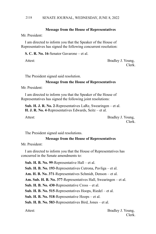#### SENATE JOURNAL, WEDNESDAY, JUNE 8, 2022 2118

## **Message from the House of Representatives**

Mr. President:

I am directed to inform you that the Speaker of the House of Representatives has signed the following concurrent resolution:

**S. C. R. No. 16**-Senator Gavarone – et al.

Attest: Bradley J. Young, Clerk.

The President signed said resolution.

#### **Message from the House of Representatives**

Mr. President:

I am directed to inform you that the Speaker of the House of Representatives has signed the following joint resolutions:

**Sub. H. J. R. No. 2**-Representatives LaRe, Swearingen – et al. **H. J. R. No. 4**-Representatives Edwards, Seitz – et al.

Attest: Bradley J. Young, Clerk.

The President signed said resolutions.

#### **Message from the House of Representatives**

Mr. President:

I am directed to inform you that the House of Representatives has concurred in the Senate amendments to:

**Sub. H. B. No. 99**-Representative Hall – et al.

**Sub. H. B. No. 193**-Representatives Cutrona, Pavliga – et al.

**Am. H. B. No. 371**-Representatives Schmidt, Denson – et al.

**Am. Sub. H. B. No. 377**-Representatives Hall, Swearingen – et al.

**Sub. H. B. No. 430**-Representative Cross – et al.

**Sub. H. B. No. 515**-Representatives Hoops, Riedel – et al.

**Sub. H. B. No. 518**-Representative Hoops – et al.

**Sub. H. B. No. 583**-Representatives Bird, Jones – et al.

Attest: Bradley J. Young, Clerk.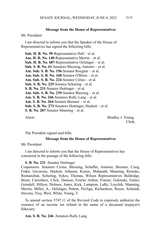# **Message from the House of Representatives**

Mr. President:

I am directed to inform you that the Speaker of the House of Representatives has signed the following bills:

**Sub. H. B. No. 99**-Representative Hall – et al. **Am. H. B. No. 140**-Representative Merrin – et al. **Sub. H. B. No. 687**-Representative Oelslager – et al. **Sub. S. B. No. 61**-Senators Blessing, Antonio – et al. **Am. Sub. S. B. No. 156**-Senator Roegner – et al. **Am. Sub. S. B. No. 160**-Senator O'Brien – et al. **Am. Sub. S. B. No. 224**-Senator Cirino – et al. **Sub. S. B. No. 225**-Senator Schuring – et al. **S. B. No. 231**-Senator Hottinger – et al. **Am. Sub. S. B. No. 239**-Senator Blessing – et al. **Am. S. B. No. 246**-Senators Rulli, Lang – et al. **Am. S. B. No. 264**-Senator Brenner – et al. **Sub. S. B. No. 273**-Senators Hottinger, Hackett – et al. **S. B. No. 287**-Senator Manning – et al.

Attest: Bradley J. Young, Clerk.

The President signed said bills.

#### **Message from the House of Representatives**

Mr. President:

I am directed to inform you that the House of Representatives has concurred in the passage of the following bills:

#### **S. B. No. 231** -Senator Hottinger

Cosponsors: Senators Cirino, Blessing, Schaffer, Antonio, Brenner, Craig, Fedor, Gavarone, Hackett, Johnson, Kunze, Maharath, Manning, Reineke, Romanchuk, Schuring, Sykes, Thomas, Wilson Representatives Baldridge, Brent, Carruthers, Click, Denson, Fowler Arthur, Fraizer, Galonski, Ginter, Grendell, Hillyer, Holmes, Jones, Kick, Lampton, LaRe, Loychik, Manning, Merrin, Miller, A., Oelslager, Patton, Pavliga, Richardson, Russo, Schmidt, Stevens, Troy, West, White, Young, T.

To amend section 5747.11 of the Revised Code to expressly authorize the issuance of an income tax refund in the name of a deceased taxpayer's fiduciary.

**Am. S. B. No. 246** -Senators Rulli, Lang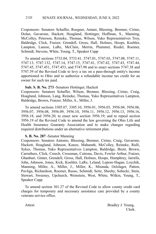Cosponsors: Senators Schaffer, Roegner, Antani, Blessing, Brenner, Cirino, Dolan, Gavarone, Hackett, Hoagland, Hottinger, Huffman, S., Manning, McColley, Peterson, Reineke, Thomas, Wilson, Yuko Representatives Troy, Baldridge, Click, Fraizer, Grendell, Gross, Hall, Holmes, Hoops, Koehler, Lampton, Lanese, LaRe, McClain, Merrin, Plummer, Riedel, Roemer, Schmidt, Stevens, White, Young, T., Speaker Cupp

To amend sections 5733.04, 5733.41, 5747.01, 5747.03, 5747.08, 5747.11, 5747.13, 5747.132, 5747.14, 5747.15, 5747.41, 5747.42, 5747.43, 5747.44, 5747.45, 5747.451, 5747.453, and 5747.98 and to enact sections 5747.38 and 5747.39 of the Revised Code to levy a tax on a pass-through entity's income apportioned to Ohio and to authorize a refundable income tax credit for an owner for such tax paid.

# **Sub. S. B. No. 273** -Senators Hottinger, Hackett

Cosponsors: Senators Schaffer, Wilson, Brenner, Blessing, Cirino, Craig, Hoagland, Johnson, Lang, Reineke, Thomas, Yuko Representatives Lampton, Baldridge, Brown, Fraizer, Miller, A., Miller, J.

To amend sections 3305.07, 3305.10, 3956.01, 3956.03, 3956.04, 3956.06, 3956.07, 3956.08, 3956.09, 3956.10, 3956.11, 3956.12, 3956.13, 3956.16, 3956.18, and 3956.20; to enact new section 3956.19; and to repeal section 3956.19 of the Revised Code to amend the law governing the Ohio Life and Health Insurance Guaranty Association and to make changes regarding required distributions under an alternative retirement plan.

## **S. B. No. 287** -Senator Manning

Cosponsors: Senators Antonio, Blessing, Brenner, Cirino, Craig, Gavarone, Hackett, Hoagland, Johnson, Kunze, Maharath, McColley, Reineke, Rulli, Sykes, Thomas, Yuko Representatives Lampton, Baldridge, Brent, Brown, Carruthers, Click, Creech, Crossman, Cutrona, Davis, Fowler Arthur, Fraizer, Ghanbari, Ginter, Grendell, Gross, Hall, Holmes, Hoops, Humphrey, Jarrells, John, Johnson, Jones, Kick, Koehler, LaRe, Leland, Lepore-Hagan, Loychik, Manning, Miller, A., Miller, J., Miller, K., Miranda, Oelslager, Patton, Pavliga, Richardson, Roemer, Russo, Schmidt, Seitz, Sheehy, Sobecki, Stein, Stewart, Sweeney, Upchurch, Weinstein, West, White, Wilkin, Young, T., Speaker Cupp

To amend section 301.27 of the Revised Code to allow county credit card charges for temporary and necessary assistance care provided by a county veterans service office.

Attest: Bradley J. Young, Clerk.